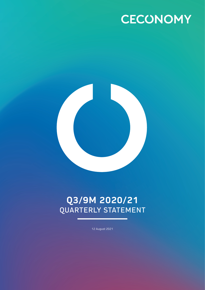



# **Q3/9M 2020/21** QUARTERLY STATEMENT

12 August 2021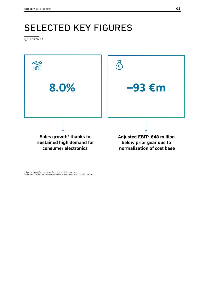# SELECTED KEY FIGURES

Q3 2020/21



<sup>1</sup> Sales adjusted for currency effects and portfolio changes 2 Adjusted EBIT before non-recurring effects, associates and portfolio changes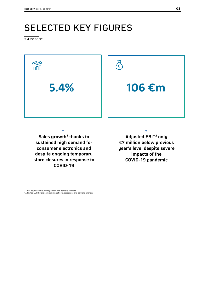# SELECTED KEY FIGURES

9M 2020/21



<sup>1</sup> Sales adjusted for currency effects and portfolio changes 2 Adjusted EBIT before non-recurring effects, associates and portfolio changes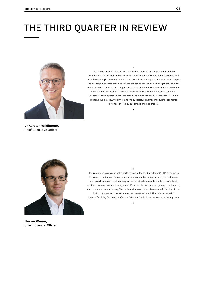# THE THIRD QUARTER IN REVIEW



The third quarter of 2020/21 was again characterized by the pandemic and the accompanying restrictions on our business. Footfall remained below pre-pandemic level after the opening in Germany in mid-June. Overall, we managed to increase sales. Despite the already high comparison basis of the previous year, we also saw slight growth in the online business due to slightly larger baskets and an improved conversion rate. In the Services & Solutions business, demand for our online services increased in particular. Our omnichannel approach provided resilience during the crisis. By consistently implementing our strategy, we aim to and will successfully harness the further economic potential offered by our omnichannel approach.

**«**

**»**

**Dr Karsten Wildberger,** Chief Executive Officer



Many countries saw strong sales performance in the third quarter of 2020/21 thanks to high customer demand for consumer electronics. In Germany, however, the extensive lockdown closures and their consequences remained noticeable and led to a decline in earnings. However, we are looking ahead. For example, we have reorganized our financing structure in a sustainable way. This includes the conclusion of a new credit facility with an ESG component and the issuance of an unsecured bond. This provides us with financial flexibility for the time after the "KfW loan", which we have not used at any time.

**«**

**»**

**Florian Wieser,**  Chief Financial Officer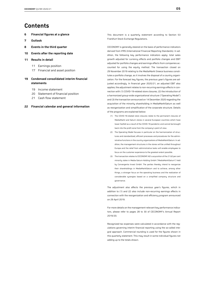### **Contents**

- **6 Financial figures at a glance**
- **7 Outlook**
- **8 Events in the third quarter**
- **10 Events after the reporting date**
- **11 Results in detail**
	- 11 Earnings position
	- 17 Financial and asset position

#### **19 Condensed consolidated interim financial statements**

- 19 Income statement
- 20 Statement of financial position
- 21 Cash flow statement

#### **22 Financial calendar and general information**

This document is a quarterly statement according to Section 53 Frankfurt Stock Exchange Regulations.

CECONOMY is generally steered on the basis of performance indicators derived from IFRS (International Financial Reporting Standards). In addition, the following key performance indicators apply: total sales growth adjusted for currency effects and portfolio changes and EBIT adjusted for portfolio changes and earnings effects from companies accounted for using the equity method. The transaction closed on 29 November 2019 relating to the MediaMarkt Greece business constitutes a portfolio change, as it involves the disposal of a country organization. For the forecast key figures, the previous year's figures are adjusted accordingly. In financial year 2020/21, an adjusted EBIT also applies; the adjustment relates to non-recurring earnings effects in connection with (1) COVID-19-related store closures, (2) the introduction of a harmonized group-wide organizational structure ("Operating Model") and (3) the transaction announced on 14 December 2020 regarding the acquisition of the minority shareholding in MediaMarktSaturn as well as reorganization and simplification of the corporate structure. Details of the programs are explained below:

- (1) The COVID-19-related store closures relate to the permanent closures of MediaMarkt and Saturn stores in several European countries which have lower footfall as a result of the COVID-19 pandemic and cannot be brought back into the profit zone from the company's point of view.
- (2) The Operating Model focuses in particular on the harmonization of structures and standardized, efficient processes and procedures for the administrative functions in the country organizations of MediaMarktSaturn. In addition, the management structures in the stores will be unified throughout Europe and the relief from administrative tasks will enable employees to focus on the customer experience to the greatest extent possible.
- (3) The transaction relates to CECONOMY AG's acquisition of the 21.62 per cent minority stake in Media-Saturn-Holding GmbH ("MediaMarktSaturn") held by Convergenta Invest GmbH. The parties thereby intend to reorganize their shareholdings in MediaMarktSaturn and to achieve, among other things, a stronger focus on the operating business and the realization of considerable synergies based on a simplified company structure and governance.

The adjustment also affects the previous year's figures, which in addition to (1) and (2) also include non-recurring earnings effects in connection with the reorganization and efficiency program announced on 29 April 2019.

For more details on the management-relevant key performance indicators, please refer to pages 28 to 30 of CECONOMY's Annual Report 2019/20.

Recognized tax expenses were calculated in accordance with the regulations governing interim financial reporting using the so-called integral approach. Commercial rounding is used for the figures shown in this quarterly statement. This may result in some individual figures not adding up to the totals shown.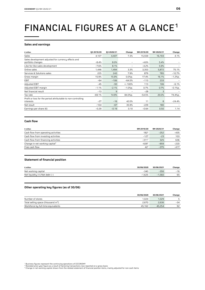# FINANCIAL FIGURES AT A GLANCE<sup>1</sup>

#### **Sales and earnings**

| $\epsilon$ million                                                         | 03 2019/20 | 03 2020/21 | Change                   | 9M 2019/20 | 9M 2020/21 | Change    |
|----------------------------------------------------------------------------|------------|------------|--------------------------|------------|------------|-----------|
| Sales                                                                      | 4,107      | 4,407      | 7.3%                     | 15,559     | 16,193     | 4.1%      |
| Sales development adjusted for currency effects and<br>portfolio changes   | $-8.4%$    | 8.0%       | -                        | $-4.6%$    | 5.4%       |           |
| Like-for-like sales development                                            | $-7.6%$    | 8.1%       |                          | $-4.2%$    | 5.9%       |           |
| Online sales                                                               | 1,446      | 1,494      | 3.3%                     | 3,353      | 5,872      | 75.1%     |
| Services & Solutions sales                                                 | 225        | 243        | 7.9%                     | 879        | 785        | $-10.7%$  |
| Gross margin                                                               | 15.9%      | 15.9%      | 0.0%p.                   | 17.4%      | 16.1%      | $-1.2%p.$ |
| <b>EBIT</b>                                                                | $-64$      | $-106$     | $-64.5%$                 | $-113$     | 233        |           |
| Adjusted EBIT                                                              | $-45$      | $-93$      | $< -100%$                | 113        | 106        | $-6.1%$   |
| Adjusted EBIT margin                                                       | $-1.1%$    | $-2.1%$    | $-1.0\%p.$               | 0.7%       | 0.7%       | $-0.1%p.$ |
| Net financial result                                                       | $-13$      | 9          | $\overline{\phantom{0}}$ | $-28$      | 3          |           |
| Tax rate                                                                   | $-69.1%$   | 14.9%      | 84.0%p.                  | $-54.5%$   | 20.0%      | 74.4%p.   |
| Profit or loss for the period attributable to non-controlling<br>interests | $-27$      | $-16$      | 42.0%                    | 11         | 8          | $-24.4%$  |
| Net result                                                                 | $-104$     | $-67$      | 35.9%                    | $-229$     | 180        |           |
| Earnings per share $(\epsilon)$                                            | $-0.29$    | $-0.19$    | 0.10                     | $-0.64$    | 0.50       | 1.14      |

#### **Cash flow**

| $\epsilon$ million                         | 9M 2019/20       | 9M 2020/21 | Change |
|--------------------------------------------|------------------|------------|--------|
| Cash flow from operating activities        | 182 <sup>2</sup> | $-252$     | $-435$ |
| Cash flow from investing activities        | $-127$           | $-23$      | 103    |
| Cash flow from financing activities        | $-311^2$         | 325        | 636    |
| Change in net working capital <sup>3</sup> | $-639^2$         | $-859$     | $-220$ |
| Free cash flow                             | $42^{2}$         | $-375$     | $-417$ |

#### **Statement of financial position**

| $\epsilon$ million                  | 30/06/2020 | 30/06/2021       | Change |
|-------------------------------------|------------|------------------|--------|
| Net working capital                 | $-340$     | $-356$           | $-16$  |
| Net liquidity $(+)/$ Net debt $(-)$ | $-1.625$   | .560<br>$\equiv$ | 65     |

#### **Other operating key figures (as of 30/06)**

|                                       | 30/06/2020 | 30/06/2021 | Change |
|---------------------------------------|------------|------------|--------|
| Number of stores                      | 1.024      | 1.029      |        |
| Total selling space (thousand $m^2$ ) | 2.670      | 2,636      | $-34$  |
| Workforce by full-time equivalents    | 45,162     | 45,254     | 92     |

' Business figures represent the continuing operations of CECONOMY<br>- Restated prior-year figure as a result of factoring transactions now reported on a gross basis<br>ª Change in net working capital shown from the related st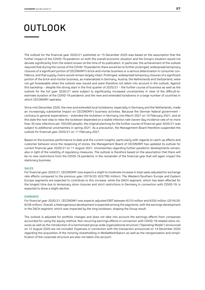## OUTLOOK

The outlook for the financial year 2020/21 published on 15 December 2020 was based on the assumption that the further impact of the COVID-19 pandemic on both the overall economic situation and the Group's situation would not deviate significantly from the extent known at the time of its publication. In particular, the achievement of the outlook required that during the course of the COVID-19 pandemic there would be no further prolonged, widespread temporary closures of a significant portion of CECONOMY's brick-and-mortar business or a serious deterioration in consumer confidence, and that supply chains would remain largely intact. Prolonged, widespread temporary closures of a significant portion of the brick-and-mortar business, as materialized in Germany, Austria, the Netherlands and Switzerland, were not yet foreseeable when the outlook was issued and were therefore not taken into account in the outlook. Against this backdrop – despite the strong start in the first quarter of 2020/21 – the further course of business as well as the outlook for the full year 2020/21 were subject to significantly increased uncertainties in view of the difficult-toestimate duration of the COVID-19 pandemic and the new and extended lockdowns in a large number of countries in which CECONOMY operates.

Since mid-December 2020, the new and extended local lockdowns, especially in Germany and the Netherlands, made an increasingly substantial impact on CECONOMY's business activities. Because the German federal government – contrary to general expectations – extended the lockdown in Germany into March 2021 on 10 February 2021, and at this date the next step to relax the lockdown depended on a stable infection rate (seven-day incidence rate of no more than 35 new infections per 100,000 people), the original planning for the further course of financial year 2020/21 was subject to additional uncertainties in spring 2021. As a precaution, the Management Board therefore suspended the outlook for financial year 2020/21 on 11 February 2021.

Based on the business performance to date and the current insights, particularly with regards to catch-up effects and customer behavior since the reopening of stores, the Management Board of CECONOMY has updated its outlook for current financial year 2020/21 on 11 August 2021. Uncertainties regarding further pandemic developments remain, also in light of the volatility of regulatory measures. The outlook is therefore based on the assumption that there will be no new restrictions from the COVID-19 pandemic in the remainder of the financial year that will again impact the stationary business.

#### **SALES**

For financial year 2020/21, CECONOMY now expects a slight to moderate increase in total sales adjusted for exchange rate effects compared to the previous year (2019/20: €20,790 million). The Western/Southern Europe and Eastern Europe segments are expected to contribute to this increase, while the DACH segment, which has been affected for the longest time due to temporary store closures and strict restrictions in Germany in connection with COVID-19, is expected to show a slight decline.

#### **EARNINGS**

For financial year 2020/21, CECONOMY now expects adjusted EBIT between €210 million and €250 million (2019/20: €236 million). Overall, a heterogeneous development is expected among the segments, with the earnings development in the DACH segment, which was impacted by the long lockdown, shaping the Group result.

The outlook is adjusted for portfolio changes and does not take into account the earnings effects from companies accounted for using the equity method. Non-recurring earnings effects in connection with COVID-19-related store closures as well as the introduction of a harmonized group-wide organizational structure ("Operating Model") announced on 12 August 2020 are not included. Expenses in connection with the transaction announced on 14 December 2020 regarding the acquisition of the minority shareholding in MediaMarktSaturn as well as the reorganization and simplification of the corporate structure are also not taken into account.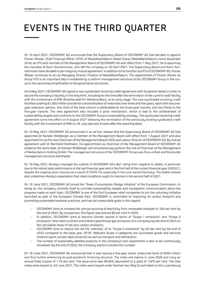# EVENTS IN THE THIRD QUARTER

On 19 April 2021, CECONOMY AG announced that the Supervisory Board of CECONOMY AG had decided to appoint Florian Wieser, Chief Financial Officer (CFO) of MediaMarktSaturn Retail Group (MediaMarktSaturn) since November 2018, as CFO and member of the Management Board of CECONOMY AG with effect from 1 Mau 2021. He is assuming the mandate of Karin Sonnenmoser, who left the company on 30 April 2021. The Supervisory Board and Karin Sonnenmoser have decided to part ways by mutual agreement. In addition to his function as CFO of CECONOMY AG, Florian Wieser continues to act as Managing Director Finance of MediaMarktSaturn. The appointment of Florian Wieser as Group CFO is an important step in establishing a uniform management structure of the CECONOMY Group in the runup to the upcoming simplification of the governance structures.

On 6 May 2021, CECONOMY AG signed a new syndicated revolving credit agreement with its partner banks in order to secure the company's liquidity in the long term, including for the time after the termination of the current credit facility with the involvement of KfW (Kreditanstalt für Wiederaufbau), at an early stage. The new syndicated revolving credit facilities totalling €1,060 million provide for a diversification of maturities over three and five years, each with two oneyear extension options. One third of the total volume is attributable to the three-year tranche, and two thirds to the five-year tranche. The new agreement also includes a price mechanism, which is tied to the achievement of sustainability targets and conforms to the CECONOMY Group's sustainability strategy. The syndicated revolving credit agreement came into effect on 9 August 2021 following the termination of the previously existing syndicated credit facility with the involvement of KfW on 29 July (see also Events after the reporting date).

On 10 May 2021, CECONOMY AG announced in an ad hoc release that the Supervisory Board of CECONOMY AG had appointed Dr Karsten Wildberger as a member of the Management Board with effect from 1 August 2021 and also appointed him as the new Chairman of the Management Board (CEO) and Labour Director of CECONOMY AG. By mutual agreement with Dr Bernhard Düttmann, his appointment as Chairman of the Management Board of CECONOMY AG ended at the same date. Dr Karsten Wildberger will simultaneously perform the role of Chairman of the Management of Media-Saturn-Holding GmbH. The management structure of the CECONOMY Group was thus unified and the double management structure eliminated.

On 19 May 2021, Moody's changed the outlook of CECONOMY AG's Ba1 rating from negative to stable, in particular due to the robust sales performance in the last financial year and in the first half of the current financial year 2020/21, despite the ongoing store closures as a result of COVID-19, especially in the core market Germany. The stable outlook also underlines Moody's expectation that retail conditions ought to improve in the second half of 2021.

On 10 June 2021, CECONOMY AG joined the "Green Consumption Pledge Initiative" of the European Commission. In doing so, the company commits itself to concrete sustainability targets and transparent communication about the progress made on each topic. CECONOMY is one of the first European retail companies to join the voluntary initiative launched as part of the European Climate Pact. CECONOMY is committed to improving its carbon footprint and promoting sustainable business practices, and has set measurable goals in this regard:

- − CECONOMY aims to increase the annual sourcing of electricity from renewable energies to 100 per cent by the end of 2023. By comparison, this figure was around 80 per cent in 2020.
- In addition, CECONOMY aims to become climate neutral in terms of "Scope 1 emissions" and "Scope 2 emissions" (this refers to direct and indirect greenhouse gas emissions of a company) by the end of 2023 on the calculation basis of net zero carbon emissions.
- CECONOMY aims to reduce the net  $CO<sub>2</sub>$  intensity<sup>1</sup> of its "Scope 3 emissions" by 30 per cent by the end of 2033 compared to the base year 2019<sup>2</sup>. Relevant Scope 3 categories are purchased goods and services (indirect spent, private label products) as well as transport and distribution.
- The number of sustainably labelled products in the company's own assortment is also to be continuously increased. By the end of 2023, the company wants to double this number.

On 18 June 2021, CECONOMY AG announced that it was issuing a five-year senior unsecured bond of €500 million and thus further enhancing its post-pandemic financing structure. The notes will mature in June 2026 and carry an annual fixed coupon of 1.75 per cent. The issue price was 99.409, equivalent to a yield of 1.875 per cent. The new notes were issued on 24 June 2021. The notes were issued under German law (Reg S) and listed on the Luxembourg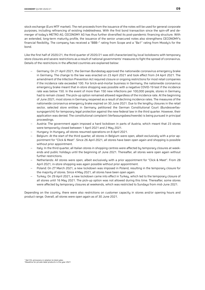stock exchange (Euro MTF market). The net proceeds from the issuance of the notes will be used for general corporate purposes, including refinancing of existing indebtedness. With the first bond transaction since the spin-off and demerger of today's METRO AG, CECONOMY AG has thus further diversified its post-pandemic financing structure. With an extended, long-term maturity profile, the issuance of the senior unsecured notes also strengthens CECONOMY's financial flexibility. The company has received a "BBB–" rating from Scope and a "Ba1" rating from Moody's for the bond.

Like the first half of 2020/21, the third quarter of 2020/21 was still characterized by local lockdowns with temporary store closures and severe restrictions as a result of national governments' measures to fight the spread of coronavirus. Details of the restrictions in the affected countries are explained below:

- − Germany: On 21 April 2021, the German Bundestag approved the nationwide coronavirus emergency brake in Germany. The change to the law was enacted on 23 April 2021 and took effect from 24 April 2021. The amendment of the Infection Prevention Act required closure or ongoing restrictions for most retail companies if the incidence rate exceeded 100. For brick-and-mortar business in Germany, the nationwide coronavirus emergency brake meant that in-store shopping was possible with a negative COVID-19 test if the incidence rate was below 150. In the event of more than 150 new infections per 100,000 people, stores in Germany had to remain closed. The pick-up option remained allowed regardless of the incidence rate. At the beginning of June 2021, most stores in Germany reopened as a result of declining incidence rates. The measures of the nationwide coronavirus emergency brake expired on 30 June 2021. Due to the lengthy closures in the retail sector, selected store entities in Germany petitioned the German Constitutional Court (Bundesverfassungsgericht) for temporary legal protection against the new federal law in the third quarter. However, their application was denied. The constitutional complaint (Verfassungsbeschwerde) is being pursued in principal proceedings.
- − Austria: The government again imposed a hard lockdown in parts of Austria, which meant that 23 stores were temporarily closed between 1 April 2021 and 2 May 2021.
- − Hungary: In Hungary, all stores resumed operations on 8 April 2021.
- − Belgium: At the start of the third quarter, all stores in Belgium were open, albeit exclusively with a prior appointment for "Click & Meet". Since 26 April 2021, all stores have been open again and shopping is possible without prior appointment.
- − Italy: In the third quarter, all Italian stores in shopping centres were affected by temporary closures at weekends and public holidays until the beginning of June 2021. Thereafter, all stores were open again without further restrictions.
- − Netherlands: All stores were open, albeit exclusively with a prior appointment for "Click & Meet". From 28 April 2021, in-store shopping was again possible without prior appointment.
- − Poland: On 27 March 2021, a new lockdown was imposed in Poland, resulting in the temporary closure for the majority of stores. Since 4 May 2021, all stores have been open again.
- − Turkey: On 29 April 2021, a new lockdown came into effect in Turkey, which led to the temporary closure of all stores until 16 May 2021. The pick-up option was not allowed during this time. Thereafter, some stores were affected by temporary closures at weekends, which was restricted to Sundays from mid-June 2021.

Depending on the country, there were also restrictions on customer capacity in stores and/or opening hours and product range. Overall, all stores were open again as of 30 June 2021.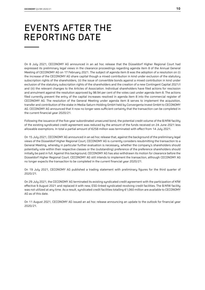## EVENTS AFTER THE REPORTING DATE

On 8 July 2021, CECONOMY AG announced in an ad hoc release that the Düsseldorf Higher Regional Court had expressed its preliminary legal views in the clearance proceedings regarding agenda item 8 of the Annual General Meeting of CECONOMY AG on 17 February 2021. The subject of agenda item 8 was the adoption of a resolution on (i) the increase of the CECONOMY AG share capital though a mixed contribution in kind under exclusion of the statutory subscription rights of the shareholders, (ii) the issue of convertible bonds against a mixed contribution in kind under exclusion of the statutory subscription rights of the shareholders and the creation of a new Contingent Capital 2021/I and (iii) the relevant changes to the Articles of Association. Individual shareholders have filed actions for rescission and annulment against the resolution approved by 98.94 per cent of the votes cast under agenda item 8. The actions filed currentlu prevent the entru of the capital increases resolved in agenda item 8 into the commercial register of CECONOMY AG. The resolution of the General Meeting under agenda item 8 serves to implement the acquisition, transfer and contribution of the stake in Media-Saturn-Holding GmbH held by Convergenta Invest GmbH to CECONOMY AG. CECONOMY AG announced that it now no longer sees sufficient certainty that the transaction can be completed in the current financial year 2020/21.

Following the issuance of the five-year subordinated unsecured bond, the potential credit volume of the B/KfW facilitu of the existing syndicated credit agreement was reduced by the amount of the funds received on 24 June 2021 less allowable exemptions. In total a partial amount of €258 million was terminated with effect from 14 July 2021.

On 15 July 2021, CECONOMY AG announced in an ad hoc release that, against the background of the preliminary legal views of the Düsseldorf Higher Regional Court, CECONOMY AG is currently considers resubmitting the transaction to a General Meeting, whereby in particular further evaluation is necessary, whether the company's shareholders should potentially vote within their respective classes or the (outstanding) preference of the preference shareholders should initially be paid in full. Against this background, CECONOMY AG has also withdrawn its motion for clearance before the Düsseldorf Higher Regional Court. CECONOMY AG still intends to implement the transaction, although CECONOMY AG no longer expects the transaction to be completed in the current financial year 2020/21.

On 19 July 2021, CECONOMY AG published a trading statement with preliminary figures for the third quarter of 2020/21.

On 29 July 2021, the CECONOMY AG terminated its existing syndicated credit agreement with the participation of KfW effective 9 August 2021 and replaced it with new, ESG-linked syndicated revolving credit facilities. The B/KfW facility was not utilized at any time. As a result, syndicated credit facilities totalling €1,060 million are available to CECONOMY AG as of this date.

On 11 August 2021, CECONOMY AG issued an ad hoc release announcing an update to the outlook for financial year 2020/21.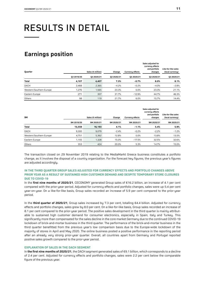# RESULTS IN DETAIL

### **Earnings position**

| Quarter                 |            | Sales ( $\varepsilon$ million) | Change     | <b>Currency effects</b> | Sales adjusted for<br>currency effects<br>and portfolio<br>changes | Like-for-like sales<br>(local currency) |
|-------------------------|------------|--------------------------------|------------|-------------------------|--------------------------------------------------------------------|-----------------------------------------|
|                         | 03 2019/20 | 03 2020/21                     | 03 2020/21 | 03 2020/21              | 03 2020/21                                                         | 03 2020/21                              |
| <b>Total</b>            | 4,107      | 4,407                          | 7.3%       | $-0.7%$                 | 8.0%                                                               | 8.1%                                    |
| <b>DACH</b>             | 2,468      | 2,365                          | $-4.2%$    | $-0.2%$                 | $-4.0%$                                                            | $-2.8%$                                 |
| Western/Southern Europe | 1,270      | 1,565                          | 23.3%      | 0.0%                    | 23.3%                                                              | 21.1%                                   |
| Eastern Europe          | 271        | 357                            | 31.7%      | $-12.9%$                | 44.7%                                                              | 46.3%                                   |
| Others                  | 98         | 119                            | 21.7%      | 6.0%                    | 15.7%                                                              | 14.4%                                   |

| <b>9M</b>               |            | Sales (€ million) | Change     | <b>Currency effects</b> | Sales adjusted for<br>currency effects<br>and portfolio<br>changes | Like-for-like sales<br>(local currency) |
|-------------------------|------------|-------------------|------------|-------------------------|--------------------------------------------------------------------|-----------------------------------------|
|                         | 9M 2019/20 | 9M 2020/21        | 9M 2020/21 | 9M 2020/21              | 9M 2020/21                                                         | 9M 2020/21                              |
| <b>Total</b>            | 15,559     | 16,193            | 4.1%       | $-1.1%$                 | 5.4%                                                               | 5.9%                                    |
| <b>DACH</b>             | 9,300      | 9,079             | $-2.4%$    | $-0.2%$                 | $-2.2%$                                                            | $-1.2%$                                 |
| Western/Southern Europe | 4.751      | 5,362             | 12.8%      | $0.0\%$                 | 13.8%                                                              | 13.5%                                   |
| Eastern Europe          | 1.155      | 1,328             | 15.0%      | $-17.5%$                | 32.5%                                                              | 32.6%                                   |
| Others                  | 353        | 424               | 20.0%      | 5.3%                    | 14.7%                                                              | 15.0%                                   |

The transaction closed on 29 November 2019 relating to the MediaMarkt Greece business constitutes a portfolio change, as it involves the disposal of a country organization. For the forecast key figures, the previous year's figures are adjusted accordingly.

#### **IN THE THIRD QUARTER GROUP SALES ADJUSTED FOR CURRENCY EFFECTS AND PORTFOLIO CHANGES ABOVE PRIOR YEAR AS A RESULT OF SUSTAINED HIGH CUSTOMER DEMAND AND DESPITE TEMPORARY STORE CLOSURES DUE TO COVID-19**

In the **first nine months of 2020/21**, CECONOMY generated Group sales of €16.2 billion, an increase of 4.1 per cent compared with the prior-year period. Adjusted for currency effects and portfolio changes, sales were up 5.4 per cent year-on-year. On a like-for-like basis, Group sales recorded an increase of 5.9 per cent compared to the prior-year period.

In the **third quarter of 2020/21**, Group sales increased by 7.3 per cent, totalling €4.4 billion. Adjusted for currency effects and portfolio changes, sales grew by 8.0 per cent. On a like-for-like basis, Group sales recorded an increase of 8.1 per cent compared to the prior-year period. The positive sales development in the third quarter is mainly attributable to sustained high customer demand for consumer electronics, especially in Spain, Italy and Turkey. This significantly more than compensated for the sales decline in the core market Germany due to the continued COVID-19 lockdown of brick-and-mortar business in the third quarter. The performance of the brick-and-mortar business in the third quarter benefitted from the previous year's low comparison basis due to the Europe-wide lockdown of the majority of stores in April and May 2020. The online business posted a positive performance in the reporting period after an already very strong prior-year quarter. Overall, all countries apart from Germany and Portugal reported positive sales growth compared to the prior-year period.

#### **EXPLANATION OF SALES IN THE DACH SEGMENT**

In **the first nine months of 2020/21**, the DACH segment generated sales of €9.1 billion, which corresponds to a decline of 2.4 per cent. Adjusted for currency effects and portfolio changes, sales were 2.2 per cent below the comparable figure of the previous year.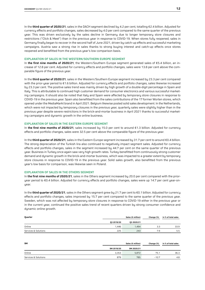In the **third quarter of 2020/21**, sales in the DACH segment declined by 4.2 per cent, totalling €2.4 billion. Adjusted for currency effects and portfolio changes, sales decreased by 4.0 per cent compared to the same quarter of the previous year. This was driven exclusively by the sales decline in Germany due to longer temporary store closures and restrictions ("Click & Meet") than in the previous year in response to COVID-19. When stores fully reopened, sales in Germany finally began to recover in the second half of June 2021, driven by catch-up effects and successful marketing campaigns. Austria saw a strong rise in sales thanks to strong buying interest and catch-up effects once stores reopened and benefitted from the previous year's low comparison basis.

#### **EXPLANATION OF SALES IN THE WESTERN/SOUTHERN EUROPE SEGMENT**

In **the first nine months of 2020/21**, the Western/Southern Europe segment generated sales of €5.4 billion, an increase of 12.8 per cent. Adjusted for currency effects and portfolio changes, sales were 13.8 per cent above the comparable figure of the previous year.

In the **third quarter of 2020/21**, sales in the Western/Southern Europe segment increased by 23.3 per cent compared with the prior-year period to €1.6 billion. Adjusted for currency effects and portfolio changes, sales likewise increased by 23.3 per cent. The positive sales trend was mainly driven by high growth of a double-digit percentage in Spain and Italy. This is attributable to continued high customer demand for consumer electronics and various successful marketing campaigns. It should also be noted that Italy and Spain were affected by temporary store closures in response to COVID-19 in the previous year. Spain also benefitted from the sales contributions of the 17 former Worten stores, which opened under the MediaMarkt brand in April 2021. Belgium likewise posted solid sales development. In the Netherlands, which were not impacted by temporary closures in the previous year, quarterly sales were slightly higher than in the previous year despite severe restrictions in the brick-and-mortar business in April 2021 thanks to successful marketing campaigns and dynamic growth in the online business.

#### **EXPLANATION OF SALES IN THE EASTERN EUROPE SEGMENT**

In **the first nine months of 2020/21**, sales increased by 15.0 per cent to around €1.3 billion. Adjusted for currency effects and portfolio changes, sales were 32.5 per cent above the comparable figure of the previous year.

In the **third quarter of 2020/21**, sales in the Eastern Europe segment increased by 31.7 per cent to around €0.4 billion. The strong depreciation of the Turkish lira also continued to negatively impact segment sales. Adjusted for currency effects and portfolio changes, sales in the segment increased by 44.7 per cent on the same quarter of the previous year. Business in Turkey once again saw very high growth rates. Turkey benefitted from continuously strong customer demand and dynamic growth in the brick-and-mortar business, which was impacted to a greater extent by temporary store closures in response to COVID-19 in the previous year. Solid sales growth, also benefitted from the previous year's low basis for comparison, was likewise seen in Poland.

#### **EXPLANATION OF SALES IN THE OTHERS SEGMENT**

In **the first nine months of 2020/21**, sales in the Others segment increased by 20.0 per cent compared with the prioryear period to €0.4 billion. Adjusted for currency effects and portfolio changes, sales were up 14.7 per cent year-onuear.

In the **third quarter of 2020/21**, sales in the Others segment grew by 21.7 per cent to €0.1 billion. Adjusted for currency effects and portfolio changes, sales improved by 15.7 per cent compared to the same quarter of the previous year. Sweden, which was not affected by temporary store closures in response to COVID-19 either in the previous year or in the current year, continued the positive sales trend of recent quarters driven by strong consumer confidence and dynamic online growth.

| Quarter              |            | Sales (€ million) | Change (%) | In % of total sales |  |
|----------------------|------------|-------------------|------------|---------------------|--|
|                      | 03 2019/20 | 03 2020/21        |            |                     |  |
| Online               | 1.446      | 1,494             | 3.3        | 33.9                |  |
| Services & Solutions | 225        | 243               | 7.9        | 5.5                 |  |

| <b>9M</b>            |            | Sales (€ million) | Change (%) | In % of total sales |  |
|----------------------|------------|-------------------|------------|---------------------|--|
|                      | 9M 2019/20 | 9M 2020/21        |            |                     |  |
| Online               | 3,353      | 5,872             | 75.1       | 36.3                |  |
| Services & Solutions | 879        | 785               | $-10.7$    | 4.8                 |  |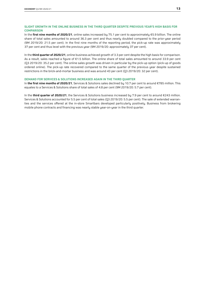#### **SLIGHT GROWTH IN THE ONLINE BUSINESS IN THE THIRD QUARTER DESPITE PREVIOUS YEAR'S HIGH BASIS FOR COMPARISON**

In the **first nine months of 2020/21**, online sales increased by 75.1 per cent to approximately €5.9 billion. The online share of total sales amounted to around 36.3 per cent and thus nearly doubled compared to the prior-year period (9M 2019/20: 21.5 per cent). In the first nine months of the reporting period, the pick-up rate was approximately 37 per cent and thus level with the previous year (9M 2019/20: approximately 37 per cent).

In the **third quarter of 2020/21**, online business achieved growth of 3.3 per cent despite the high basis for comparison. As a result, sales reached a figure of €1.5 billion. The online share of total sales amounted to around 33.9 per cent (Q3 2019/20: 35.2 per cent). The online sales growth was driven in particular by the pick-up option (pick-up of goods ordered online). The pick-up rate recovered compared to the same quarter of the previous year despite sustained restrictions in the brick-and-mortar business and was around 43 per cent (Q3 2019/20: 32 per cent).

#### **DEMAND FOR SERVICES & SOLUTIONS INCREASED AGAIN IN THE THIRD QUARTER**

In **the first nine months of 2020/21**, Services & Solutions sales declined by 10.7 per cent to around €785 million. This equates to a Services & Solutions share of total sales of 4.8 per cent (9M 2019/20: 5.7 per cent).

In the **third quarter of 2020/21**, the Services & Solutions business increased by 7.9 per cent to around €243 million. Services & Solutions accounted for 5.5 per cent of total sales (Q3 2019/20: 5.5 per cent). The sale of extended warranties and the services offered at the in-store Smartbars developed particularly positively. Business from brokering mobile phone contracts and financing was nearly stable year-on-year in the third quarter.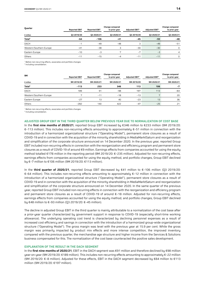| Quarter                 | <b>Reported EBIT</b> | <b>Change compared</b><br><b>Adjusted EBIT1</b><br><b>Adjusted EBIT1</b><br><b>Reported EBIT</b><br>to prior year |                |            |            |            |  |
|-------------------------|----------------------|-------------------------------------------------------------------------------------------------------------------|----------------|------------|------------|------------|--|
| $\epsilon$ million      | 03 2019/20           | 03 2020/21                                                                                                        | 03 2020/21     | 03 2019/20 | 03 2020/21 | 03 2020/21 |  |
| Total <sup>2</sup>      | $-64$                | $-106$                                                                                                            | $-41$          | $-45$      | $-93$      | -48        |  |
| <b>DACH</b>             | -1                   | $-49$                                                                                                             | $-48$          | 3          | $-49$      | $-51$      |  |
| Western/Southern Europe | $-41$                | $-38$                                                                                                             |                | $-30$      | $-30$      | 0          |  |
| Eastern Europe          | $-10$                | $-3$                                                                                                              | $\overline{ }$ | $-7$       | $-3$       | 4          |  |
| Others                  | $-11$                | $-15$                                                                                                             | -4             | $-11$      | $-11$      | 0          |  |

<sup>1</sup> Before non-recurring effects, associates and portfolio changes

<sup>2</sup> Including consolidation.

| <b>9M</b>               |                                                                                                                                                                                                                                                       | <b>Change compared</b> |               |                            |                            |               |
|-------------------------|-------------------------------------------------------------------------------------------------------------------------------------------------------------------------------------------------------------------------------------------------------|------------------------|---------------|----------------------------|----------------------------|---------------|
|                         | <b>Reported EBIT</b>                                                                                                                                                                                                                                  | <b>Reported EBIT</b>   | to prior year | Adjusted EBIT <sup>1</sup> | Adjusted EBIT <sup>1</sup> | to prior year |
| $\epsilon$ million      | Change compared<br>9M 2019/20<br>9M 2020/21<br>9M 2020/21<br>9M 2019/20<br>9M 2020/21<br>113<br>233<br>346<br>106<br>$-113$<br>189<br>197<br>113<br>91<br>$-98$<br>$\overline{ }$<br>$-13$<br>E<br>$-18$<br>$-11$<br>13<br>13<br>40<br>$-23$<br>$-27$ | 9M 2020/21             |               |                            |                            |               |
| Total <sup>2</sup>      |                                                                                                                                                                                                                                                       |                        |               |                            |                            | -7            |
| <b>DACH</b>             |                                                                                                                                                                                                                                                       |                        |               |                            |                            | $-84$         |
| Western/Southern Europe |                                                                                                                                                                                                                                                       |                        |               |                            |                            | 20            |
| Eastern Europe          |                                                                                                                                                                                                                                                       |                        |               |                            |                            | 36            |
| Others                  | $-282$                                                                                                                                                                                                                                                | 140                    | 422           | $-47$                      | $-25$                      | 21            |

<sup>1</sup> Before non-recurring effects, associates and portfolio changes

<sup>2</sup> Including consolidation.

**ADJUSTED GROUP EBIT IN THE THIRD QUARTER BELOW PREVIOUS YEAR DUE TO NORMALIZATION OF COST BASE** In the **first nine months of 2020/21**, reported Group EBIT increased by €346 million to €233 million (9M 2019/20: €–113 million). This includes non-recurring effects amounting to approximately €–51 million in connection with the introduction of a harmonized organizational structure ("Operating Model"), permanent store closures as a result of COVID-19 and in connection with the acquisition of the minority shareholding in MediaMarktSaturn and reorganization and simplification of the corporate structure announced on 14 December 2020. In the previous year, reported Group EBIT included non-recurring effects in connection with the reorganization and efficiency program and permanent store closures as a result of COVID-19 of around €9 million. Earnings effects from companies accounted for using the equity method totalled €178 million in the reporting period (9M 2019/20: €–235 million). Adjusted for non-recurring effects, earnings effects from companies accounted for using the equity method, and portfolio changes, Group EBIT declined by €–7 million to €106 million (9M 2019/20: €113 million).

In the **third quarter of 2020/21**, reported Group EBIT decreased by €41 million to €–106 million (Q3 2019/20: €–64 million). This includes non-recurring effects amounting to approximately €–12 million in connection with the introduction of a harmonized organizational structure ("Operating Model"), permanent store closures as a result of COVID-19 and in connection with the acquisition of the minority shareholding in MediaMarktSaturn and reorganization and simplification of the corporate structure announced on 14 December 2020. In the same quarter of the previous year, reported Group EBIT included non-recurring effects in connection with the reorganization and efficiency program and permanent store closures as a result of COVID-19 of around €–18 million. Adjusted for non-recurring effects, earnings effects from companies accounted for using the equity method, and portfolio changes, Group EBIT declined by €48 million to €–93 million (Q3 2019/20: €–45 million).

The decline in adjusted Group EBIT in the third quarter is mainly attributable to a normalization of the cost base after a prior-year quarter characterized by government support in response to COVID-19 (especially short-time working allowance). The underlying operating cost trend is characterized by declining personnel expenses as a result of increased cost efficiencu and savings in connection with the introduction of a harmonized group-wide organizational structure ("Operating Model"). The gross margin was level with the previous year at 15.9 per cent. While the gross margin was primarily impacted by product mix effects and more intense competition, the improved inventory compared with the previous quarter, the merchandise age structure and higher income from the Services & Solutions business compensated for this. The normalization of the cost base counteracted the positive sales development.

#### **EXPLANATION OF THE RESULT IN THE DACH SEGMENT**

In the **first nine months of 2020/21**, EBIT in the DACH segment was €91 million and therefore declined by €98 million year-on-year (9M 2019/20: €189 million). This includes non-recurring effects amounting to approximately €–22 million (9M 2019/20: €–8 million). Adjusted for these effects, EBIT in the DACH segment decreased by €84 million to €113 million (9M 2019/20: €197 million).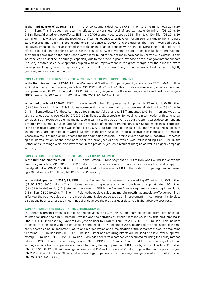In the **third quarter of 2020/21**, EBIT in the DACH segment declined by €48 million to €–49 million (Q3 2019/20: €–1 million). This includes non-recurring effects at a very low level of approximately €0 million (Q3 2019/20: €–3 million). Adjusted for these effects, EBIT in the DACH segment decreased by €51 million to €–49 million (Q3 2019/20: €3 million). This was primarily the result of significantly negative sales development in Germany due to the temporary store closures and "Click & Meet" restrictions in response to COVID-19 in the quarter. The margin was additionally negatively impacted by the associated shift to the online channel, coupled with higher delivery costs, and product mix effects, especially in the offline channel. On the cost side, lower government support (especially short-time working allowance) compared to the prior-year quarter contributed to the decline in earnings in Germany. In Austria, a cost increase led to a decline in earnings, especially due to the previous year's low base as result of government support. The very positive sales development coupled with an improvement in the gross margin had the opposite effect. Earnings in Hungary increased year-on-year as a result of sales and margins and in Switzerland increased slightly year-on-year as a result of margins.

#### **EXPLANATION OF THE RESULT IN THE WESTERN/SOUTHERN EUROPE SEGMENT**

In **the first nine months of 2020/21**, the Western and Southern Europe segment generated an EBIT of €–11 million, €18 million below the previous year's level (9M 2019/20: €7 million). This includes non-recurring effects amounting to approximately €–17 million (9M 2019/20: €20 million). Adjusted for these earnings effects and portfolio changes, EBIT increased by €20 million to €7 million (9M 2019/20: €–13 million).

In the **third quarter of 2020/21**, EBIT in the Western/Southern Europe segment improved by €3 million to €–38 million (Q3 2019/20: €–41 million). This includes non-recurring effects amounting to approximately €–8 million (Q3 2019/20: €–11 million). Adjusted for these earnings effects and portfolio changes, EBIT amounted to €–30 million and was thus at the previous year's level (Q3 2019/20: €–30 million) despite a provision for legal risks in connection with contractual penalties. Spain recorded a significant increase in earnings. This was driven by both the strong sales development and a margin improvement, due in particular to the recovery of income from the Services & Solutions business compared to the prior-year quarter, which was influenced by COVID-19. Operating earnings in Italy improved as a result of sales and margins. Earnings in Belgium were lower than in the previous year despite a positive sales increase due to margin losses as a result of product mix effects and high campaign intensity. Earnings were additionally negatively impacted by the normalization of the cost base after the prior-year quarter, which was influenced by COVID-19. In the Netherlands, earnings were also lower than in the previous year as a result of margins as well as higher campaign intensity.

#### **EXPLANATION OF THE RESULT IN THE EASTERN EUROPE SEGMENT**

In the **first nine months of 2020/21**, EBIT in the Eastern Europe segment at €13 million was €40 million above the previous year's level (9M 2019/20: €-27 million). This includes non-recurring effects at a very low level of approximately €0 million (9M 2019/20: €–3 million). Adjusted for these effects, EBIT in the Eastern Europe segment increased by €36 million to €13 million (9M 2019/20: €–23 million).

In the **third quarter of 2020/21**, EBIT in the Eastern Europe segment increased by €7 million to €–3 million (Q3 2019/20: €–10 million). This includes non-recurring effects at a very low level of approximately €0 million (Q3 2019/20: €–3 million). Adjusted for these effects, EBIT in the Eastern Europe segment increased by €4 million to €–3 million (Q3 2019/20: €–7 million). In Poland, the positive sales and margin growth had a positive effect on earnings. In Turkey, the positive sales and margin development, also supported by an improvement in income from the Services & Solutions business, resulted in earnings slightly above the previous year despite a higher absolute cost base.

#### **EXPLANATION OF THE RESULT IN THE OTHERS SEGMENT**

The Others segment covers, in particular, the activities of CECONOMY AG, the earnings effects from companies accounted for using the equity method, Sweden and the activities of smaller companies. In the **first nine months of 2020/21**, EBIT increased by €422 million year-on-year to €140 million (9M 2019/20: €–282 million). This includes expenses in connection with the transaction announced on 14 December 2020 relating to the acquisition of the minority shareholding in MediaMarktSaturn and reorganization and simplification of the corporate structure amounting to around €–10 million (9M 2019/20: €0 million). Other non-recurring effects are included at a low level of approximately €–2 million (9M 2019/20: €0 million). Earnings effects from companies accounted for using the equity method totalled €178 million in the reporting period (9M 2019/20: €–235 million). Adjusted for non-recurring effects and earnings effects from companies accounted for using the equity method, EBIT rose by €21 million to €–25 million (9M 2019/20: €–47 million). Earnings in Sweden, at €–8 million, were €12 million higher than in the previous year (9M 2019/20: €–21 million). Other, smaller operating companies in the Others segment generated an EBIT of €1 million (9M 2019/20: €–3 million).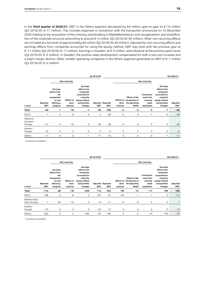In the **third quarter of 2020/21**, EBIT in the Others segment decreased by €4 million year-on-year to €–15 million (Q3 2019/20: €–11 million). This includes expenses in connection with the transaction announced on 14 December 2020 relating to the acquisition of the minority shareholding in MediaMarktSaturn and reorganization and simplification of the corporate structure amounting to around €–3 million (Q3 2019/20: €0 million). Other non-recurring effects are included at a low level of approximately €0 million (Q3 2019/20: €0 million). Adjusted for non-recurring effects and earnings effects from companies accounted for using the equity method, EBIT was level with the previous year at €–11 million (Q3 2019/20: €–11 million). Earnings in Sweden, at €–5 million, were likewise at the previous year's level (Q3 2019/20: €–5 million). In Sweden, the positive sales development compensated for both a low cost increase and a slight margin decline. Other, smaller operating companies in the Others segment generated an EBIT of €–1 million (Q3 2019/20: €–2 million).

|                                |                  |                                                                                    |                                        |                                                                                                                  | 03 2019/20  |                                         |                   |                                                                               |                                                                      |                                                                                                                  | 03 2020/21       |
|--------------------------------|------------------|------------------------------------------------------------------------------------|----------------------------------------|------------------------------------------------------------------------------------------------------------------|-------------|-----------------------------------------|-------------------|-------------------------------------------------------------------------------|----------------------------------------------------------------------|------------------------------------------------------------------------------------------------------------------|------------------|
|                                |                  |                                                                                    | Non-recurring                          |                                                                                                                  |             |                                         |                   |                                                                               | Non-recurring                                                        |                                                                                                                  |                  |
| $E$ million                    | Reported<br>EBIT | Earnings<br>effects from<br>the<br>reorganizati<br>on and<br>efficiency<br>program | <b>Effects of</b><br>store<br>closures | Earnings<br>effects from<br>companies<br>accounted for<br>using the<br>equity method<br>and portfolio<br>changes | <b>EBIT</b> | <b>Adjusted Reported</b><br><b>EBIT</b> | store<br>closures | <b>Effects of the</b><br>Effects of introduction of<br>the Operating<br>Model | <b>Transaction</b><br>costs from<br>minority<br>stake<br>acquisition | Earnings<br>effects from<br>companies<br>accounted for<br>using the<br>equity method<br>and portfolio<br>changes | Adjusted<br>EBIT |
| Total <sup>1</sup>             | $-64$            | 1                                                                                  | $-19$                                  | $-1$                                                                                                             | $-45$       | $-106$                                  | -4                | -4                                                                            | $-3$                                                                 | -1                                                                                                               | $-93$            |
| DACH                           | $-1$             | 3                                                                                  | -6                                     | 0                                                                                                                | 3           | $-49$                                   | 0                 | 0                                                                             | $-1$                                                                 | 0                                                                                                                | $-49$            |
| Western/<br>Southern<br>Europe | $-41$            | $-2$                                                                               | $-10$                                  | 0                                                                                                                | $-30$       | $-38$                                   | $-4$              | $-4$                                                                          | 0                                                                    | 0                                                                                                                | $-30$            |
| Eastern<br>Europe              | $-10$            | 0                                                                                  | $-3$                                   | 0                                                                                                                | $-7$        | $-3$                                    | 0                 | 0                                                                             | 0                                                                    | 0                                                                                                                | $-3$             |
| Others                         | $-11$            | 0                                                                                  | 0                                      | $-1$                                                                                                             | $-11$       | $-15$                                   | 0                 | $\mathbf 0$                                                                   | $-3$                                                                 | $-1$                                                                                                             | $-11$            |

<sup>1</sup> Including consolidation

|                             |                         |                                                                                           |                                        |                                                                                                                  | 9M 2019/20  |                                         |                   |                                                                                      |                                                                      |                                                                                                                  | 9M 2020/21       |
|-----------------------------|-------------------------|-------------------------------------------------------------------------------------------|----------------------------------------|------------------------------------------------------------------------------------------------------------------|-------------|-----------------------------------------|-------------------|--------------------------------------------------------------------------------------|----------------------------------------------------------------------|------------------------------------------------------------------------------------------------------------------|------------------|
|                             |                         |                                                                                           | Non-recurring                          |                                                                                                                  |             |                                         |                   |                                                                                      | Non-recurring                                                        |                                                                                                                  |                  |
| $E$ million                 | Reported<br><b>EBIT</b> | <b>Earnings</b><br>effects from<br>the<br>reorganizati<br>on and<br>efficiency<br>program | <b>Effects of</b><br>store<br>closures | Earnings<br>effects from<br>companies<br>accounted for<br>using the<br>equity method<br>and portfolio<br>changes | <b>EBIT</b> | <b>Adjusted Reported</b><br><b>EBIT</b> | store<br>closures | <b>Effects of the</b><br><b>Effects of introduction of</b><br>the Operating<br>Model | <b>Transaction</b><br>costs from<br>minority<br>stake<br>acquisition | Earnings<br>effects from<br>companies<br>accounted for<br>using the<br>equity method<br>and portfolio<br>changes | Adjusted<br>EBIT |
| Total <sup>1</sup>          | $-113$                  | 28                                                                                        | $-19$                                  | $-235$                                                                                                           | 113         | 233                                     | -29               | $-12$                                                                                | $-11$                                                                | 178                                                                                                              | 106              |
| DACH                        | 189                     | $-2$                                                                                      | $-6$                                   | 0                                                                                                                | 197         | 91                                      | $-20$             | $-1$                                                                                 | $-1$                                                                 | 0                                                                                                                | 113              |
| Western/Sou<br>thern Europe | 7                       | 30                                                                                        | $-10$                                  | 0                                                                                                                | $-13$       | $-11$                                   | $-9$              | $-9$                                                                                 | 0                                                                    | 0                                                                                                                | 7                |
| Eastern<br>Europe           | $-27$                   | 0                                                                                         | $-3$                                   | 0                                                                                                                | $-23$       | 13                                      | 0                 | $\mathsf 0$                                                                          | 0                                                                    | 0                                                                                                                | 13               |
| Others                      | $-282$                  | 0                                                                                         | 0                                      | $-235$                                                                                                           | $-47$       | 140                                     | 0                 | $-2$                                                                                 | $-10$                                                                | 178                                                                                                              | $-25$            |

<sup>1</sup> Including consolidation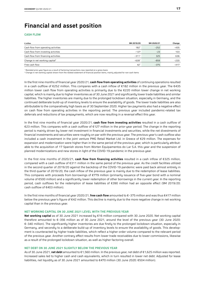### **Financial and asset position**

#### **CASH FLOW**

| $\epsilon$ million                         | 9M 2019/20       | 9M 2020/21 | Change |
|--------------------------------------------|------------------|------------|--------|
| Cash flow from operating activities        | 182 <sup>1</sup> | $-252$     | $-435$ |
| Cash flow from investing activities        | $-127$           | $-23$      | 103    |
| Cash flow from financing activities        | $-3111$          | 325        | 636    |
| Change in net working capital <sup>2</sup> | $-6391$          | $-859$     | $-220$ |
| Free cash flow                             | $42^{1}$         | $-375$     | $-417$ |

<sup>1</sup> Restated prior-year figure as a result of factoring transactions now reported on a gross basis

<sup>2</sup> Change in net working capital shown from the related statement of financial position items, mainly adjusted for non-cash items

In the first nine months of financial year 2020/21, **cash flow from operating activities** of continuing operations resulted in a cash outflow of €252 million. This compares with a cash inflow of €182 million in the previous year. The €435 million lower cash flow from operating activities is primarily due to the €220 million lower change in net working capital, which is mainly due to higher inventories as of 30 June 2021 and significantly lower trade liabilities and similar liabilities. The higher inventories are mainly due to the prolonged lockdown situation, especially in Germany, and the continued deliberate build-up of inventory levels to ensure the availability of goods. The lower trade liabilities are also attributable to the comparatively high basis as of 30 September 2020. Higher tax payments also had a negative effect on cash flow from operating activities in the reporting period. The previous year included pandemic-related tax deferrals and reductions of tax prepayments, which are now resulting in a reversal effect this year.

In the first nine months of financial year 2020/21, **cash flow from investing activities** resulted in a cash outflow of €23 million. This compares with a cash outflow of €127 million in the prior-year period. The change in the reporting period is mainly driven by lower net investment in financial investments and securities, while the net divestments of financial investments and securities were roughly on par with the previous year. The previous year's cash outflow also included a cash investment in the joint venture PMG Retail Market Ltd. in Greece of €29 million. The expenses for expansion and modernization were higher than in the same period of the previous year, which is particularly attributable to the acquisition of 17 Spanish stores from Worten Equipamentos do Lar S.A. this year and the suspension of planned modernizations and new stores in light of the COVID-19 pandemic in the previous year.

In the first nine months of 2020/21, **cash flow from financing activities** resulted in a cash inflow of €325 million, compared with a cash outflow of €311 million in the same period of the previous year. As the credit facilities utilized in the second quarter of 2019/20 against the backdrop of the COVID-19 pandemic were paid back almost entirely in the third quarter of 2019/20, the cash inflow of the previous year is mainly due to the redemption of lease liabilities. This compares with proceeds from borrowings of €779 million (primarily issuance of five-year bond with a nominal volume of €500 million) and a significantly lower redemption of other borrowings in the current year. In the reporting period, cash outflows for the redemption of lease liabilities of €390 million had an opposite effect (9M 2019/20: cash outflow of €403 million).

In the first nine months of financial year 2020/21, **free cash flow** amounted to €–375 million and was thus €417 million below the previous year's figure of €42 million. This decline is mainly due to the more negative change in net working capital than in the previous year.

#### **NET WORKING CAPITAL ON 30 JUNE 2021 LEVEL WITH THE PREVIOUS YEAR**

**Net working capital** as of 30 June 2021 increased by €16 million compared with 30 June 2020. Net working capital therefore amounted to €–356 million as of 30 June 2021, around the level of the previous year (30 June 2020: €–340 million). The significantly higher inventories are due firstly to the prolonged lockdown situation, especially in Germany, and secondly to a deliberate build-up of inventory levels to ensure the availability of goods. This development is counteracted by higher trade liabilities, which reflect a higher order volume compared to the relevant period of the previous year. Another contrary effect results from lower trade receivables due to lower commissions, likewise as a result of the prolonged lockdown situation, as well as higher factoring overall.

#### **NET DEBT ON 30 JUNE 2021 SLIGHTLY BELOW THE PREVIOUS YEAR**

As of 30 June 2021, **net debt** amounted to €1,560 million. In the previous year, net debt of €1,625 million was reported. Increased sales led to higher cash and cash equivalents, which in turn resulted in lower net debt. Adjusted for lease liabilities, net liquidity as of 30 June 2021 amounted to €470 million (30 June 2020: €504 million).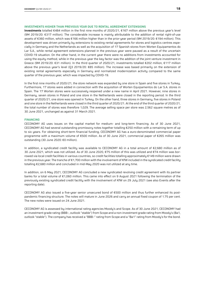#### **INVESTMENTS HIGHER THAN PREVIOUS YEAR DUE TO RENTAL AGREEMENT EXTENSIONS**

**Investments** totalled €484 million in the first nine months of 2020/21, €167 million above the previous year's level (9M 2019/20: €317 million). The considerable increase is mainly attributable to the addition of rental right-of-use assets of €360 million, which was €166 million higher than in the prior-year period (9M 2019/20: €194 million). This development was driven primarily by extensions to existing rental agreements for stores and logistics centres especially in Germany and the Netherlands as well as the acquisition of 17 Spanish stores from Worten Equipamentos do Lar S.A., while rental agreement extensions planned in the previous year were paused as a result of the uncertain COVID-19 situation. On the other hand, in the current year there were no additions from investments accounted for using the equity method, while in the previous year the key factor was the addition of the joint venture investment in Greece (9M 2019/20: €31 million). In the third quarter of 2020/21, investments totalled €202 million, €117 million above the previous year's level (Q3 2019/20: €85 million). The increase was based primarily on the extension of existing rental agreements especially in Germany and normalized modernization activity compared to the same quarter of the previous year, which was impacted by COVID-19.

In the first nine months of 2020/21, the store network was expanded by one store in Spain and five stores in Turkey. Furthermore, 17 stores were added in connection with the acquisition of Worten Equipamentos do Lar S.A. stores in Spain. The 17 Worten stores were successively reopened under a new name in April 2021. However, nine stores in Germany, seven stores in Poland and one store in the Netherlands were closed in the reporting period. In the third quarter of 2020/21, one store was opened in Turkey. On the other hand, three stores in Germany, five stores in Poland and one store in the Netherlands were closed in the third quarter of 2020/21. At the end of the third quarter of 2020/21, the total number of stores was therefore 1,029. The average selling space per store was 2,562 square metres as of 30 June 2021, unchanged as against 31 March 2021.

#### **FINANCING**

CECONOMY AG uses issues on the capital market for medium- and long-term financing. As of 30 June 2021, CECONOMY AG had several outstanding promissory notes together totalling €250 million with a remaining term of up to six years. For obtaining short-term financial funding, CECONOMY AG has a euro-denominated commercial paper programme with a maximum volume of €500 million. As of 30 June 2021, commercial paper of €265 million was outstanding (30 June 2020: €0 million).

In addition, a syndicated credit facility was available to CECONOMY AG in a total amount of €2,680 million as of 30 June 2021, which was not utilized. As of 30 June 2020, €75 million of this was utilized and €74 million was borrowed via local credit facilities in various countries, so credit facilities totalling approximately €149 million were drawn in the previous year. The tranche of €1,700 million with the involvement of KfW included in the syndicated credit facility totalling €2,680 million and concluded in mid-May 2020 was not utilized at any time.

In addition, on 6 May 2021, CECONOMY AG concluded a new syndicated revolving credit agreement with its partner banks for a total volume of €1,060 million. This came into effect on 9 August 2021 following the termination of the previously existing syndicated credit facility with the involvement of KfW on 29 July 2021 (see also Events after the reporting date).

CECONOMY AG also issued a five-year senior unsecured bond of €500 million and thus further enhanced its postpandemic financing structure. The notes will mature in June 2026 and carry an annual fixed coupon of 1.75 per cent. The new notes were issued on 24 June 2021.

CECONOMY AG is assessed by international rating agencies Moody's and Scope. As of 30 June 2021, CECONOMY had an investment grade rating (BBB–, outlook "stable") from Scope and a non-investment grade rating from Moody's (Ba1, outlook "stable"). The company has received a "BBB–" rating from Scope and a "Ba1" rating from Moody's for the bond.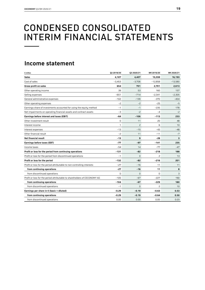## CONDENSED CONSOLIDATED INTERIM FINANCIAL STATEMENTS

### **Income statement**

| $E$ million                                                               | 03 2019/20 | 03 2020/21     | 9M 2019/20     | 9M 2020/21 |
|---------------------------------------------------------------------------|------------|----------------|----------------|------------|
| <b>Sales</b>                                                              | 4,107      | 4,407          | 15,559         | 16,193     |
| Cost of sales                                                             | $-3,453$   | $-3,706$       | $-12,858$      | $-13,580$  |
| <b>Gross profit on sales</b>                                              | 654        | 701            | 2,701          | 2,613      |
| Other operating income                                                    | 39         | 53             | 160            | 157        |
| Selling expenses                                                          | $-651$     | $-714$         | $-2,341$       | $-2,305$   |
| General administrative expenses                                           | $-102$     | $-139$         | $-370$         | -404       |
| Other operating expenses                                                  | $-2$       | $-2$           | $-25$          | $-5$       |
| Earnings share of investments accounted for using the equity method       | $-1$       | $-1$           | $-235$         | 178        |
| Net impairments on operating financial assets and contract assets         | $-3$       | $-2$           | $-4$           | $-2$       |
| Earnings before interest and taxes (EBIT)                                 | $-64$      | $-106$         | $-113$         | 233        |
| Other investment result                                                   | 0          | 11             | 20             | 48         |
| Interest income                                                           | 1          | $\overline{c}$ | 6              | 10         |
| Interest expenses                                                         | $-13$      | $-15$          | $-43$          | $-48$      |
| Other financial result                                                    | $-2$       | 11             | $-11$          | $-7$       |
| <b>Net financial result</b>                                               | $-13$      | 9              | -28            | 3          |
| Earnings before taxes (EBT)                                               | -77        | -97            | -141           | 235        |
| Income taxes                                                              | $-54$      | 14             | $-77$          | $-47$      |
| Profit or loss for the period from continuing operations                  | $-131$     | $-82$          | $-218$         | 188        |
| Profit or loss for the period from discontinued operations                | $-1$       | $\mathbf 0$    | $\overline{c}$ | 13         |
| Profit or loss for the period                                             | $-132$     | $-82$          | $-216$         | 201        |
| Profit or loss for the period attributable to non-controlling interests   | $-27$      | $-16$          | 11             | 11         |
| from continuing operations                                                | $-27$      | $-16$          | 11             | 8          |
| from discontinued operations                                              | $\Omega$   | $\mathbf 0$    | $\Omega$       | 3          |
| Profit or loss for the period attributable to shareholders of CECONOMY AG | $-105$     | $-67$          | $-227$         | 190        |
| from continuing operations                                                | $-104$     | $-67$          | -229           | 180        |
| from discontinued operations                                              | $-1$       | $\mathbf 0$    | $\overline{c}$ | 10         |
| Earnings per share in $\epsilon$ (basic = diluted)                        | $-0.29$    | $-0.19$        | $-0.63$        | 0.53       |
| from continuing operations                                                | $-0.29$    | $-0.19$        | $-0.64$        | 0.50       |
| from discontinued operations                                              | 0.00       | 0.00           | 0.00           | 0.03       |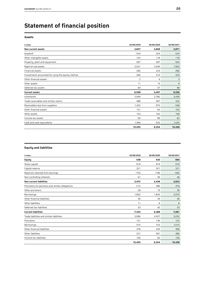## **Statement of financial position**

#### **Assets**

| $\epsilon$ million                                | 30/09/2020 | 30/06/2020 | 30/06/2021 |
|---------------------------------------------------|------------|------------|------------|
| <b>Non-current assets</b>                         | 3,857      | 3,858      | 3,871      |
| Goodwill                                          | 524        | 524        | 524        |
| Other intangible assets                           | 102        | 118        | 118        |
| Property, plant and equipment                     | 567        | 587        | 505        |
| Right-of-use assets                               | 2,021      | 2,009      | 1,902      |
| Financial assets                                  | 280        | 233        | 280        |
| Investments accounted for using the equity method | 266        | 310        | 433        |
| Other financial assets                            | 2          | 6          | 3          |
| Other assets                                      | 11         | 14         | 9          |
| Deferred tax assets                               | 84         | 57         | 98         |
| <b>Current assets</b>                             | 6,598      | 5,497      | 6,556      |
| Inventories                                       | 2,949      | 2,780      | 3,439      |
| Trade receivables and similar claims              | 488        | 467        | 320        |
| Receivables due from suppliers                    | 1,302      | 970        | 938        |
| Other financial assets                            | 151        | 65         | 105        |
| Other assets                                      | 154        | 192        | 169        |
| Income tax assets                                 | 69         | 89         | 62         |
| Cash and cash equivalents                         | 1,484      | 933        | 1,525      |
|                                                   | 10,455     | 9,354      | 10,428     |

#### **Equity and liabilities**

| $E$ million                                     | 30/09/2020 | 30/06/2020 | 30/06/2021 |
|-------------------------------------------------|------------|------------|------------|
| <b>Equity</b>                                   | 548        | 530        | 694        |
| Share capital                                   | 919        | 919        | 919        |
| Capital reserve                                 | 321        | 321        | 321        |
| Reserves retained from earnings                 | $-753$     | $-746$     | $-592$     |
| Non-controlling interests                       | 61         | 36         | 46         |
| <b>Non-current liabilities</b>                  | 2,472      | 2,436      | 2,653      |
| Provisions for pensions and similar obligations | 513        | 496        | 476        |
| Other provisions                                | 28         | 16         | 30         |
| <b>Borrowings</b>                               | 1,850      | 1,835      | 2,070      |
| Other financial liabilities                     | 36         | 39         | 36         |
| Other liabilities                               | 11         | 8          | 8          |
| Deferred tax liabilities                        | 33         | 42         | 33         |
| <b>Current liabilities</b>                      | 7,435      | 6,388      | 7,081      |
| Trade liabilities and similar liabilities       | 5,996      | 4,557      | 5,052      |
| Provisions                                      | 151        | 136        | 122        |
| Borrowings                                      | 573        | 723        | 1,015      |
| Other financial liabilities                     | 378        | 330        | 399        |
| Other liabilities                               | 231        | 581        | 386        |
| Income tax liabilities                          | 106        | 60         | 106        |
|                                                 | 10,455     | 9,354      | 10,428     |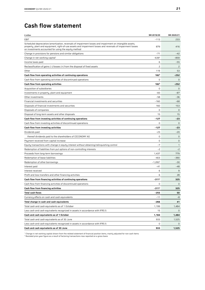### **Cash flow statement**

| € million                                                                                                                                                                                                                                                                       | 9M 2019/20     | 9M 2020/21     |
|---------------------------------------------------------------------------------------------------------------------------------------------------------------------------------------------------------------------------------------------------------------------------------|----------------|----------------|
| <b>EBIT</b>                                                                                                                                                                                                                                                                     | $-113$         | 233            |
| Scheduled depreciation/amortization, reversals of impairment losses and impairment on intangible assets,<br>property, plant and equipment, right-of-use assets and impairment losses and reversals of impairment losses<br>on investments accounted for using the equity method | 879            | 416            |
| Change in provisions for pensions and similar obligations                                                                                                                                                                                                                       | $-71$          | $-42$          |
| Change in net working capital <sup>1</sup>                                                                                                                                                                                                                                      | $-639^2$       | $-859$         |
| Income taxes paid                                                                                                                                                                                                                                                               | 6              | $-55$          |
| Reclassification of gains (-)/losses (+) from the disposal of fixed assets                                                                                                                                                                                                      | $\overline{c}$ | $\overline{c}$ |
| Other                                                                                                                                                                                                                                                                           | 119            | 53             |
| Cash flow from operating activities of continuing operations                                                                                                                                                                                                                    | $182^2$        | -252           |
| Cash flow from operating activities of discontinued operations                                                                                                                                                                                                                  | 0              | $\mathbf{0}$   |
| Cash flow from operating activities                                                                                                                                                                                                                                             | $182^2$        | -252           |
| Acquisition of subsidiaries                                                                                                                                                                                                                                                     | $\mathbf 0$    | $\mathbf{0}$   |
| Investments in property, plant and equipment                                                                                                                                                                                                                                    | -83            | -87            |
| Other investments                                                                                                                                                                                                                                                               | $-58$          | $-36$          |
| Financial investments and securities                                                                                                                                                                                                                                            | $-160$         | $-68$          |
| Disposals of financial investments and securities                                                                                                                                                                                                                               | 160            | 153            |
| Disposals of companies                                                                                                                                                                                                                                                          | 0              | $\mathbf{0}$   |
| Disposal of long-term assets and other disposals                                                                                                                                                                                                                                | 15             | 15             |
| Cash flow from investing activities of continuing operations                                                                                                                                                                                                                    | -127           | -23            |
| Cash flow from investing activities of discontinued operations                                                                                                                                                                                                                  | 0              | $\mathbf{0}$   |
| Cash flow from investing activities                                                                                                                                                                                                                                             | -127           | -23            |
| Dividends paid                                                                                                                                                                                                                                                                  | $-23$          | $-20$          |
| thereof dividends paid to the shareholders of CECONOMY AG                                                                                                                                                                                                                       | 0              | $\mathbf 0$    |
| Payment received from capital increase                                                                                                                                                                                                                                          | 0              | $\mathbf 0$    |
| Equity transactions with change in equity interest without obtaining/relinquishing control                                                                                                                                                                                      | -7             | 1              |
| Redemption of liabilities from put options of non-controlling interests                                                                                                                                                                                                         | $-2$           | $-2$           |
| Proceeds from long-term borrowings                                                                                                                                                                                                                                              | 1,437          | 779            |
| Redemption of lease liabilities                                                                                                                                                                                                                                                 | $-403$         | -390           |
| Redemption of other borrowings                                                                                                                                                                                                                                                  | $-1,2832$      | $-30$          |
| Interest paid                                                                                                                                                                                                                                                                   | -41            | $-48$          |
| Interest received                                                                                                                                                                                                                                                               | 6              | 9              |
| Profit and loss transfers and other financing activities                                                                                                                                                                                                                        | 6              | 28             |
| Cash flow from financing activities of continuing operations                                                                                                                                                                                                                    | $-311^2$       | 325            |
| Cash flow from financing activities of discontinued operations                                                                                                                                                                                                                  | 0              | $\mathbf{0}$   |
| <b>Cash flow from financing activities</b>                                                                                                                                                                                                                                      | $-311^2$       | 325            |
| Total cash flows                                                                                                                                                                                                                                                                | $-255$         | 50             |
| Currency effects on cash and cash equivalents                                                                                                                                                                                                                                   | $-11$          | $-8$           |
| Total change in cash and cash equivalents                                                                                                                                                                                                                                       | -266           | 41             |
| Total cash and cash equivalents as of 1 October                                                                                                                                                                                                                                 | 1,199          | 1,484          |
| Less cash and cash equivalents recognized in assets in accordance with IFRS 5                                                                                                                                                                                                   | 15             | 0              |
| Cash and cash equivalents as of 1 October                                                                                                                                                                                                                                       | 1,184          | 1,484          |
| Total cash and cash equivalents as of 30 June                                                                                                                                                                                                                                   | 933            | 1,525          |
| Less cash and cash equivalents recognized in assets in accordance with IFRS 5                                                                                                                                                                                                   | 0              | $\mathbf{0}$   |
| Cash and cash equivalents as of 30 June                                                                                                                                                                                                                                         | 933            | 1,525          |

1 Change in net working capital shown from the related statement of financial position items, mainly adjusted for non-cash items<br><sup>2</sup> Restated prior-year figure as a result of factoring transactions now reported on a gross